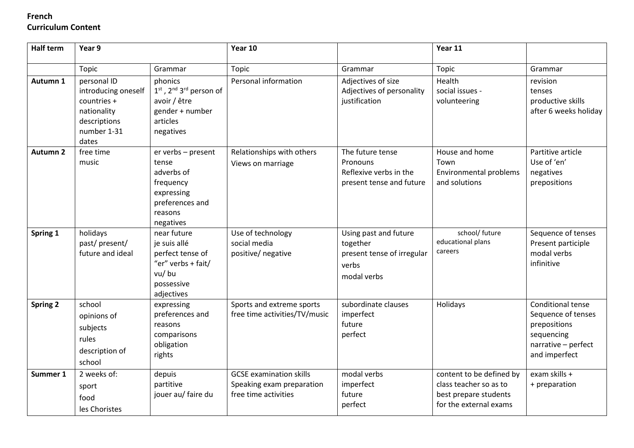#### **Half term Year 9 Year 10 Year 11** Topic | Grammar | Topic | Grammar | Grammar **Autumn 1** personal ID introducing oneself countries + nationality descriptions number 1-31 dates phonics 1<sup>st</sup>, 2<sup>nd</sup> 3<sup>rd</sup> person of avoir / être gender + number articles negatives Personal information  $\Box$  Adjectives of size Adjectives of personality justification Health social issues volunteering revision tenses productive skills after 6 weeks holiday **Autumn 2** free time music er verbs – present tense adverbs of frequency expressing preferences and reasons negatives Relationships with others Views on marriage The future tense **Pronouns** Reflexive verbs in the present tense and future House and home Town Environmental problems and solutions Partitive article Use of 'en' negatives prepositions **Spring 1** holidays past/ present/ future and ideal near future je suis allé perfect tense of "er" verbs + fait/ vu/ bu possessive adjectives Use of technology social media positive/ negative Using past and future together present tense of irregular verbs modal verbs school/ future educational plans careers Sequence of tenses Present participle modal verbs infinitive **Spring 2** school opinions of subjects rules description of school expressing preferences and reasons comparisons obligation rights Sports and extreme sports free time activities/TV/music subordinate clauses imperfect future perfect Holidays Conditional tense Sequence of tenses prepositions sequencing narrative – perfect and imperfect **Summer 1** 2 weeks of: sport food les Choristes depuis partitive jouer au/ faire du GCSE examination skills Speaking exam preparation free time activities modal verbs imperfect future perfect content to be defined by class teacher so as to best prepare students for the external exams exam skills + + preparation

# **French Curriculum Content**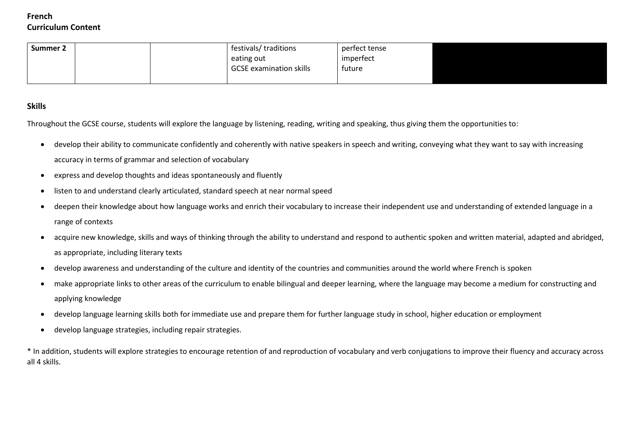# **French Curriculum Content**

| Summer 2 |  | festivals/ traditions          | perfect tense |  |
|----------|--|--------------------------------|---------------|--|
|          |  | eating out                     | imperfect     |  |
|          |  | <b>GCSE</b> examination skills | tuture        |  |
|          |  |                                |               |  |

## **Skills**

Throughout the GCSE course, students will explore the language by listening, reading, writing and speaking, thus giving them the opportunities to:

- develop their ability to communicate confidently and coherently with native speakers in speech and writing, conveying what they want to say with increasing accuracy in terms of grammar and selection of vocabulary
- express and develop thoughts and ideas spontaneously and fluently
- listen to and understand clearly articulated, standard speech at near normal speed
- deepen their knowledge about how language works and enrich their vocabulary to increase their independent use and understanding of extended language in a range of contexts
- acquire new knowledge, skills and ways of thinking through the ability to understand and respond to authentic spoken and written material, adapted and abridged, as appropriate, including literary texts
- develop awareness and understanding of the culture and identity of the countries and communities around the world where French is spoken
- make appropriate links to other areas of the curriculum to enable bilingual and deeper learning, where the language may become a medium for constructing and applying knowledge
- develop language learning skills both for immediate use and prepare them for further language study in school, higher education or employment
- develop language strategies, including repair strategies.

\* In addition, students will explore strategies to encourage retention of and reproduction of vocabulary and verb conjugations to improve their fluency and accuracy across all 4 skills.